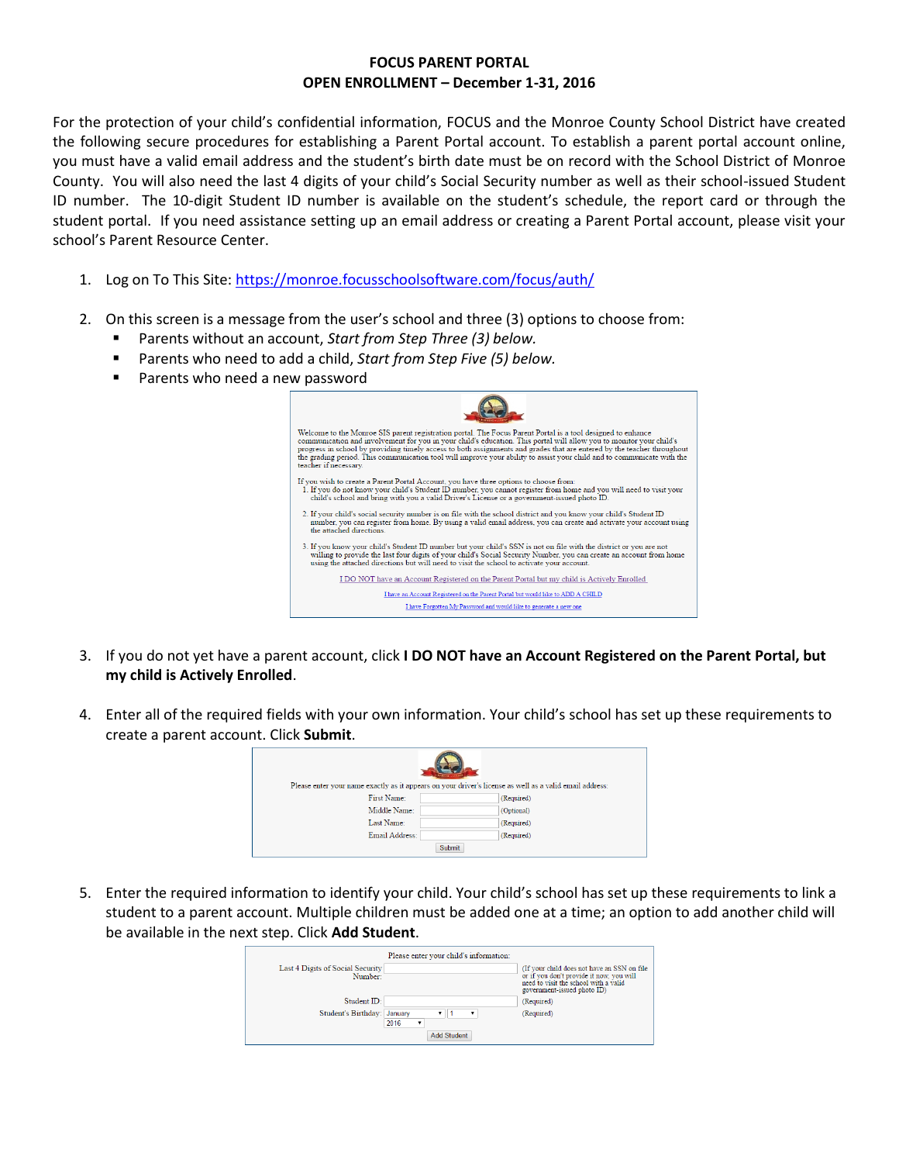## **FOCUS PARENT PORTAL OPEN ENROLLMENT – December 1-31, 2016**

For the protection of your child's confidential information, FOCUS and the Monroe County School District have created the following secure procedures for establishing a Parent Portal account. To establish a parent portal account online, you must have a valid email address and the student's birth date must be on record with the School District of Monroe County. You will also need the last 4 digits of your child's Social Security number as well as their school-issued Student ID number. The 10-digit Student ID number is available on the student's schedule, the report card or through the student portal. If you need assistance setting up an email address or creating a Parent Portal account, please visit your school's Parent Resource Center.

- 1. Log on To This Site:<https://monroe.focusschoolsoftware.com/focus/auth/>
- 2. On this screen is a message from the user's school and three (3) options to choose from:
	- Parents without an account, *Start from Step Three (3) below.*
	- Parents who need to add a child, *Start from Step Five (5) below.*
	- **Parents who need a new password**

| Welcome to the Monroe SIS parent registration portal. The Focus Parent Portal is a tool designed to enhance<br>communication and involvement for you in your child's education. This portal will allow you to monitor your child's<br>progress in school by providing timely access to both assignments and grades that are entered by the teacher throughout<br>the grading period. This communication tool will improve your ability to assist your child and to communicate with the<br>teacher if necessary. |
|------------------------------------------------------------------------------------------------------------------------------------------------------------------------------------------------------------------------------------------------------------------------------------------------------------------------------------------------------------------------------------------------------------------------------------------------------------------------------------------------------------------|
| If you wish to create a Parent Portal Account, you have three options to choose from:<br>1. If you do not know your child's Student ID number, you cannot register from home and you will need to visit your<br>child's school and bring with you a valid Driver's License or a government-issued photo ID.                                                                                                                                                                                                      |
| 2. If your child's social security number is on file with the school district and you know your child's Student ID<br>number, you can register from home. By using a valid email address, you can create and activate your account using<br>the attached directions                                                                                                                                                                                                                                              |
| 3. If you know your child's Student ID number but your child's SSN is not on file with the district or you are not<br>willing to provide the last four digits of your child's Social Security Number, you can create an account from home<br>using the attached directions but will need to visit the school to activate your account.                                                                                                                                                                           |
| I DO NOT have an Account Registered on the Parent Portal but my child is Actively Enrolled                                                                                                                                                                                                                                                                                                                                                                                                                       |
| I have an Account Registered on the Parent Portal but would like to ADD A CHILD                                                                                                                                                                                                                                                                                                                                                                                                                                  |
| I have Forgotten My Password and would like to generate a new one                                                                                                                                                                                                                                                                                                                                                                                                                                                |

- 3. If you do not yet have a parent account, click **I DO NOT have an Account Registered on the Parent Portal, but my child is Actively Enrolled**.
- 4. Enter all of the required fields with your own information. Your child's school has set up these requirements to create a parent account. Click **Submit**.

|                | Please enter your name exactly as it appears on your driver's license as well as a valid email address: |
|----------------|---------------------------------------------------------------------------------------------------------|
| First Name:    | (Required)                                                                                              |
| Middle Name:   | (Optional)                                                                                              |
| Last Name:     | (Required)                                                                                              |
| Email Address: | (Required)                                                                                              |
|                | <b>Submit</b>                                                                                           |

5. Enter the required information to identify your child. Your child's school has set up these requirements to link a student to a parent account. Multiple children must be added one at a time; an option to add another child will be available in the next step. Click **Add Student**.

| Student ID:<br>(Required)<br>Student's Birthday: January<br>(Required)<br>2016<br>۰ | Last 4 Digits of Social Security<br>Number: | Please enter your child's information: | (If your child does not have an SSN on file)<br>or if you don't provide it now, you will<br>need to visit the school with a valid<br>government-issued photo ID) |
|-------------------------------------------------------------------------------------|---------------------------------------------|----------------------------------------|------------------------------------------------------------------------------------------------------------------------------------------------------------------|
|                                                                                     |                                             |                                        |                                                                                                                                                                  |
| <b>Add Student</b>                                                                  |                                             |                                        |                                                                                                                                                                  |